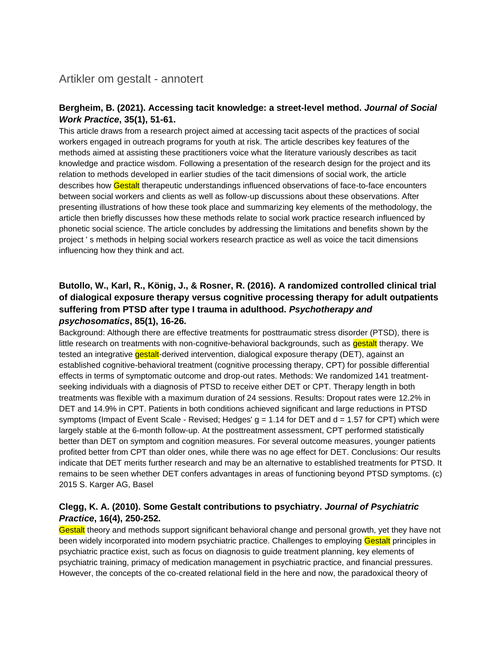## Artikler om gestalt - annotert

#### **Bergheim, B. (2021). Accessing tacit knowledge: a street-level method.** *Journal of Social Work Practice***, 35(1), 51-61.**

This article draws from a research project aimed at accessing tacit aspects of the practices of social workers engaged in outreach programs for youth at risk. The article describes key features of the methods aimed at assisting these practitioners voice what the literature variously describes as tacit knowledge and practice wisdom. Following a presentation of the research design for the project and its relation to methods developed in earlier studies of the tacit dimensions of social work, the article describes how Gestalt therapeutic understandings influenced observations of face-to-face encounters between social workers and clients as well as follow-up discussions about these observations. After presenting illustrations of how these took place and summarizing key elements of the methodology, the article then briefly discusses how these methods relate to social work practice research influenced by phonetic social science. The article concludes by addressing the limitations and benefits shown by the project ' s methods in helping social workers research practice as well as voice the tacit dimensions influencing how they think and act.

### **Butollo, W., Karl, R., König, J., & Rosner, R. (2016). A randomized controlled clinical trial of dialogical exposure therapy versus cognitive processing therapy for adult outpatients suffering from PTSD after type I trauma in adulthood.** *Psychotherapy and psychosomatics***, 85(1), 16-26.**

Background: Although there are effective treatments for posttraumatic stress disorder (PTSD), there is little research on treatments with non-cognitive-behavioral backgrounds, such as **gestalt** therapy. We tested an integrative **gestalt**-derived intervention, dialogical exposure therapy (DET), against an established cognitive-behavioral treatment (cognitive processing therapy, CPT) for possible differential effects in terms of symptomatic outcome and drop-out rates. Methods: We randomized 141 treatmentseeking individuals with a diagnosis of PTSD to receive either DET or CPT. Therapy length in both treatments was flexible with a maximum duration of 24 sessions. Results: Dropout rates were 12.2% in DET and 14.9% in CPT. Patients in both conditions achieved significant and large reductions in PTSD symptoms (Impact of Event Scale - Revised; Hedges'  $g = 1.14$  for DET and  $d = 1.57$  for CPT) which were largely stable at the 6-month follow-up. At the posttreatment assessment, CPT performed statistically better than DET on symptom and cognition measures. For several outcome measures, younger patients profited better from CPT than older ones, while there was no age effect for DET. Conclusions: Our results indicate that DET merits further research and may be an alternative to established treatments for PTSD. It remains to be seen whether DET confers advantages in areas of functioning beyond PTSD symptoms. (c) 2015 S. Karger AG, Basel

### **Clegg, K. A. (2010). Some Gestalt contributions to psychiatry.** *Journal of Psychiatric Practice***, 16(4), 250-252.**

Gestalt theory and methods support significant behavioral change and personal growth, yet they have not been widely incorporated into modern psychiatric practice. Challenges to employing Gestalt principles in psychiatric practice exist, such as focus on diagnosis to guide treatment planning, key elements of psychiatric training, primacy of medication management in psychiatric practice, and financial pressures. However, the concepts of the co-created relational field in the here and now, the paradoxical theory of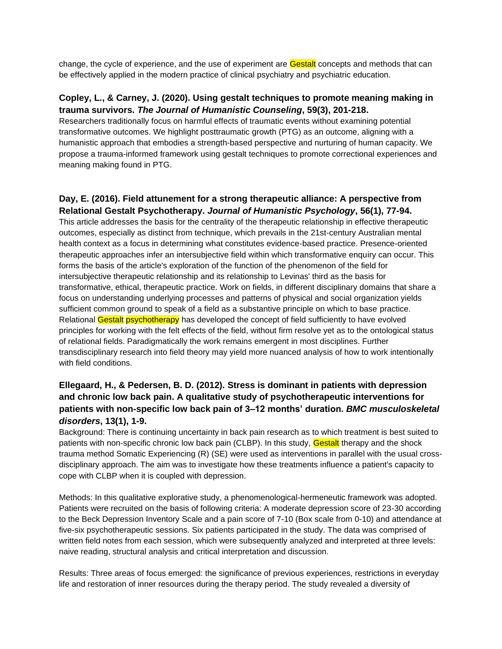change, the cycle of experience, and the use of experiment are Gestalt concepts and methods that can be effectively applied in the modern practice of clinical psychiatry and psychiatric education.

#### **Copley, L., & Carney, J. (2020). Using gestalt techniques to promote meaning making in trauma survivors.** *The Journal of Humanistic Counseling***, 59(3), 201-218.**

Researchers traditionally focus on harmful effects of traumatic events without examining potential transformative outcomes. We highlight posttraumatic growth (PTG) as an outcome, aligning with a humanistic approach that embodies a strength-based perspective and nurturing of human capacity. We propose a trauma-informed framework using gestalt techniques to promote correctional experiences and meaning making found in PTG.

### **Day, E. (2016). Field attunement for a strong therapeutic alliance: A perspective from Relational Gestalt Psychotherapy.** *Journal of Humanistic Psychology***, 56(1), 77-94.**

This article addresses the basis for the centrality of the therapeutic relationship in effective therapeutic outcomes, especially as distinct from technique, which prevails in the 21st-century Australian mental health context as a focus in determining what constitutes evidence-based practice. Presence-oriented therapeutic approaches infer an intersubjective field within which transformative enquiry can occur. This forms the basis of the article's exploration of the function of the phenomenon of the field for intersubjective therapeutic relationship and its relationship to Levinas' third as the basis for transformative, ethical, therapeutic practice. Work on fields, in different disciplinary domains that share a focus on understanding underlying processes and patterns of physical and social organization yields sufficient common ground to speak of a field as a substantive principle on which to base practice. Relational Gestalt psychotherapy has developed the concept of field sufficiently to have evolved principles for working with the felt effects of the field, without firm resolve yet as to the ontological status of relational fields. Paradigmatically the work remains emergent in most disciplines. Further transdisciplinary research into field theory may yield more nuanced analysis of how to work intentionally with field conditions.

### **Ellegaard, H., & Pedersen, B. D. (2012). Stress is dominant in patients with depression and chronic low back pain. A qualitative study of psychotherapeutic interventions for patients with non-specific low back pain of 3–12 months' duration.** *BMC musculoskeletal disorders***, 13(1), 1-9.**

Background: There is continuing uncertainty in back pain research as to which treatment is best suited to patients with non-specific chronic low back pain (CLBP). In this study, Gestalt therapy and the shock trauma method Somatic Experiencing (R) (SE) were used as interventions in parallel with the usual crossdisciplinary approach. The aim was to investigate how these treatments influence a patient's capacity to cope with CLBP when it is coupled with depression.

Methods: In this qualitative explorative study, a phenomenological-hermeneutic framework was adopted. Patients were recruited on the basis of following criteria: A moderate depression score of 23-30 according to the Beck Depression Inventory Scale and a pain score of 7-10 (Box scale from 0-10) and attendance at five-six psychotherapeutic sessions. Six patients participated in the study. The data was comprised of written field notes from each session, which were subsequently analyzed and interpreted at three levels: naive reading, structural analysis and critical interpretation and discussion.

Results: Three areas of focus emerged: the significance of previous experiences, restrictions in everyday life and restoration of inner resources during the therapy period. The study revealed a diversity of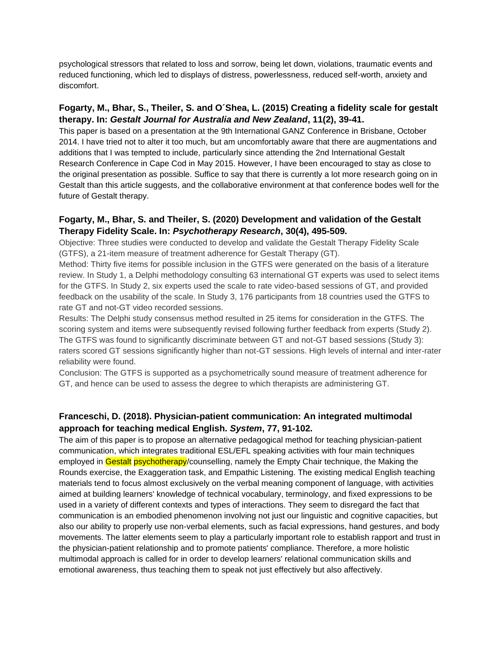psychological stressors that related to loss and sorrow, being let down, violations, traumatic events and reduced functioning, which led to displays of distress, powerlessness, reduced self-worth, anxiety and discomfort.

#### **Fogarty, M., Bhar, S., Theiler, S. and O´Shea, L. (2015) Creating a fidelity scale for gestalt therapy. In:** *Gestalt Journal for Australia and New Zealand***, 11(2), 39-41.**

This paper is based on a presentation at the 9th International GANZ Conference in Brisbane, October 2014. I have tried not to alter it too much, but am uncomfortably aware that there are augmentations and additions that I was tempted to include, particularly since attending the 2nd International Gestalt Research Conference in Cape Cod in May 2015. However, I have been encouraged to stay as close to the original presentation as possible. Suffice to say that there is currently a lot more research going on in Gestalt than this article suggests, and the collaborative environment at that conference bodes well for the future of Gestalt therapy.

#### **Fogarty, M., Bhar, S. and Theiler, S. (2020) Development and validation of the Gestalt Therapy Fidelity Scale. In:** *Psychotherapy Research***, 30(4), 495-509.**

Objective: Three studies were conducted to develop and validate the Gestalt Therapy Fidelity Scale (GTFS), a 21-item measure of treatment adherence for Gestalt Therapy (GT).

Method: Thirty five items for possible inclusion in the GTFS were generated on the basis of a literature review. In Study 1, a Delphi methodology consulting 63 international GT experts was used to select items for the GTFS. In Study 2, six experts used the scale to rate video-based sessions of GT, and provided feedback on the usability of the scale. In Study 3, 176 participants from 18 countries used the GTFS to rate GT and not-GT video recorded sessions.

Results: The Delphi study consensus method resulted in 25 items for consideration in the GTFS. The scoring system and items were subsequently revised following further feedback from experts (Study 2). The GTFS was found to significantly discriminate between GT and not-GT based sessions (Study 3): raters scored GT sessions significantly higher than not-GT sessions. High levels of internal and inter-rater reliability were found.

Conclusion: The GTFS is supported as a psychometrically sound measure of treatment adherence for GT, and hence can be used to assess the degree to which therapists are administering GT.

#### **Franceschi, D. (2018). Physician-patient communication: An integrated multimodal approach for teaching medical English.** *System***, 77, 91-102.**

The aim of this paper is to propose an alternative pedagogical method for teaching physician-patient communication, which integrates traditional ESL/EFL speaking activities with four main techniques employed in Gestalt psychotherapy/counselling, namely the Empty Chair technique, the Making the Rounds exercise, the Exaggeration task, and Empathic Listening. The existing medical English teaching materials tend to focus almost exclusively on the verbal meaning component of language, with activities aimed at building learners' knowledge of technical vocabulary, terminology, and fixed expressions to be used in a variety of different contexts and types of interactions. They seem to disregard the fact that communication is an embodied phenomenon involving not just our linguistic and cognitive capacities, but also our ability to properly use non-verbal elements, such as facial expressions, hand gestures, and body movements. The latter elements seem to play a particularly important role to establish rapport and trust in the physician-patient relationship and to promote patients' compliance. Therefore, a more holistic multimodal approach is called for in order to develop learners' relational communication skills and emotional awareness, thus teaching them to speak not just effectively but also affectively.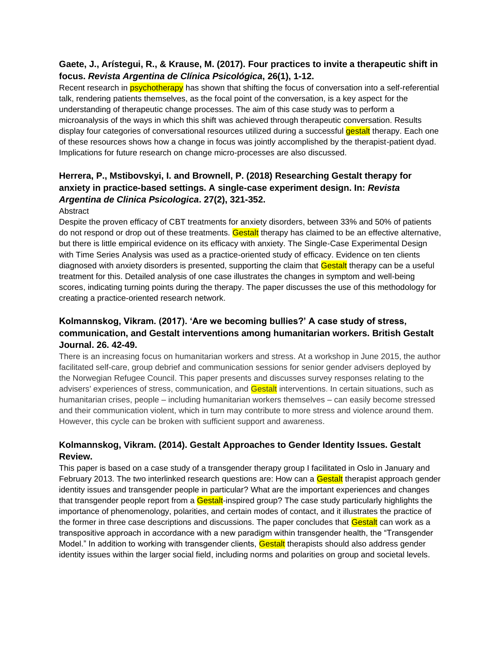#### **Gaete, J., Arístegui, R., & Krause, M. (2017). Four practices to invite a therapeutic shift in focus.** *Revista Argentina de Clínica Psicológica***, 26(1), 1-12.**

Recent research in **psychotherapy** has shown that shifting the focus of conversation into a self-referential talk, rendering patients themselves, as the focal point of the conversation, is a key aspect for the understanding of therapeutic change processes. The aim of this case study was to perform a microanalysis of the ways in which this shift was achieved through therapeutic conversation. Results display four categories of conversational resources utilized during a successful **gestalt** therapy. Each one of these resources shows how a change in focus was jointly accomplished by the therapist-patient dyad. Implications for future research on change micro-processes are also discussed.

# **Herrera, P., Mstibovskyi, I. and Brownell, P. (2018) Researching Gestalt therapy for anxiety in practice-based settings. A single-case experiment design. In:** *Revista Argentina de Clinica Psicologica***. 27(2), 321-352.**

#### Abstract

Despite the proven efficacy of CBT treatments for anxiety disorders, between 33% and 50% of patients do not respond or drop out of these treatments. Gestalt therapy has claimed to be an effective alternative, but there is little empirical evidence on its efficacy with anxiety. The Single-Case Experimental Design with Time Series Analysis was used as a practice-oriented study of efficacy. Evidence on ten clients diagnosed with anxiety disorders is presented, supporting the claim that Gestalt therapy can be a useful treatment for this. Detailed analysis of one case illustrates the changes in symptom and well-being scores, indicating turning points during the therapy. The paper discusses the use of this methodology for creating a practice-oriented research network.

### **Kolmannskog, Vikram. (2017). 'Are we becoming bullies?' A case study of stress, communication, and Gestalt interventions among humanitarian workers. British Gestalt Journal. 26. 42-49.**

There is an increasing focus on humanitarian workers and stress. At a workshop in June 2015, the author facilitated self-care, group debrief and communication sessions for senior gender advisers deployed by the Norwegian Refugee Council. This paper presents and discusses survey responses relating to the advisers' experiences of stress, communication, and Gestalt interventions. In certain situations, such as humanitarian crises, people – including humanitarian workers themselves – can easily become stressed and their communication violent, which in turn may contribute to more stress and violence around them. However, this cycle can be broken with sufficient support and awareness.

### **Kolmannskog, Vikram. (2014). Gestalt Approaches to Gender Identity Issues. Gestalt Review.**

This paper is based on a case study of a transgender therapy group I facilitated in Oslo in January and February 2013. The two interlinked research questions are: How can a Gestalt therapist approach gender identity issues and transgender people in particular? What are the important experiences and changes that transgender people report from a Gestalt-inspired group? The case study particularly highlights the importance of phenomenology, polarities, and certain modes of contact, and it illustrates the practice of the former in three case descriptions and discussions. The paper concludes that Gestalt can work as a transpositive approach in accordance with a new paradigm within transgender health, the "Transgender Model." In addition to working with transgender clients, Gestalt therapists should also address gender identity issues within the larger social field, including norms and polarities on group and societal levels.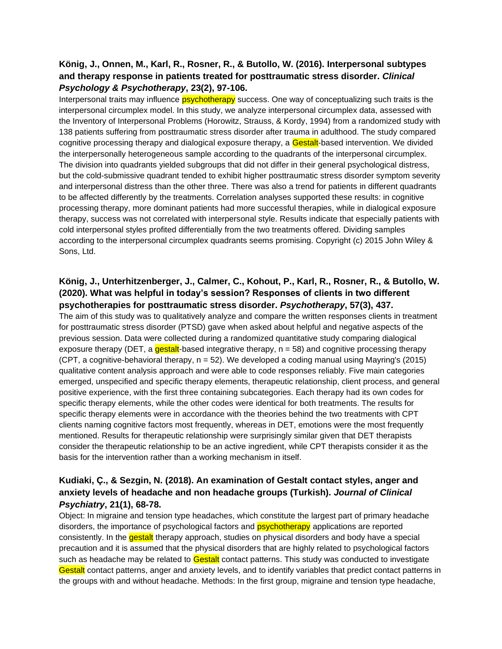#### **König, J., Onnen, M., Karl, R., Rosner, R., & Butollo, W. (2016). Interpersonal subtypes and therapy response in patients treated for posttraumatic stress disorder.** *Clinical Psychology & Psychotherapy***, 23(2), 97-106.**

Interpersonal traits may influence **psychotherapy** success. One way of conceptualizing such traits is the interpersonal circumplex model. In this study, we analyze interpersonal circumplex data, assessed with the Inventory of Interpersonal Problems (Horowitz, Strauss, & Kordy, 1994) from a randomized study with 138 patients suffering from posttraumatic stress disorder after trauma in adulthood. The study compared cognitive processing therapy and dialogical exposure therapy, a **Gestalt**-based intervention. We divided the interpersonally heterogeneous sample according to the quadrants of the interpersonal circumplex. The division into quadrants yielded subgroups that did not differ in their general psychological distress, but the cold-submissive quadrant tended to exhibit higher posttraumatic stress disorder symptom severity and interpersonal distress than the other three. There was also a trend for patients in different quadrants to be affected differently by the treatments. Correlation analyses supported these results: in cognitive processing therapy, more dominant patients had more successful therapies, while in dialogical exposure therapy, success was not correlated with interpersonal style. Results indicate that especially patients with cold interpersonal styles profited differentially from the two treatments offered. Dividing samples according to the interpersonal circumplex quadrants seems promising. Copyright (c) 2015 John Wiley & Sons, Ltd.

#### **König, J., Unterhitzenberger, J., Calmer, C., Kohout, P., Karl, R., Rosner, R., & Butollo, W. (2020). What was helpful in today's session? Responses of clients in two different psychotherapies for posttraumatic stress disorder.** *Psychotherapy***, 57(3), 437.**

The aim of this study was to qualitatively analyze and compare the written responses clients in treatment for posttraumatic stress disorder (PTSD) gave when asked about helpful and negative aspects of the previous session. Data were collected during a randomized quantitative study comparing dialogical exposure therapy (DET, a gestalt-based integrative therapy,  $n = 58$ ) and cognitive processing therapy (CPT, a cognitive-behavioral therapy,  $n = 52$ ). We developed a coding manual using Mayring's (2015) qualitative content analysis approach and were able to code responses reliably. Five main categories emerged, unspecified and specific therapy elements, therapeutic relationship, client process, and general positive experience, with the first three containing subcategories. Each therapy had its own codes for specific therapy elements, while the other codes were identical for both treatments. The results for specific therapy elements were in accordance with the theories behind the two treatments with CPT clients naming cognitive factors most frequently, whereas in DET, emotions were the most frequently mentioned. Results for therapeutic relationship were surprisingly similar given that DET therapists consider the therapeutic relationship to be an active ingredient, while CPT therapists consider it as the basis for the intervention rather than a working mechanism in itself.

## **Kudiaki, Ç., & Sezgin, N. (2018). An examination of Gestalt contact styles, anger and anxiety levels of headache and non headache groups (Turkish).** *Journal of Clinical Psychiatry***, 21(1), 68-78.**

Object: In migraine and tension type headaches, which constitute the largest part of primary headache disorders, the importance of psychological factors and **psychotherapy** applications are reported consistently. In the gestalt therapy approach, studies on physical disorders and body have a special precaution and it is assumed that the physical disorders that are highly related to psychological factors such as headache may be related to **Gestalt** contact patterns. This study was conducted to investigate Gestalt contact patterns, anger and anxiety levels, and to identify variables that predict contact patterns in the groups with and without headache. Methods: In the first group, migraine and tension type headache,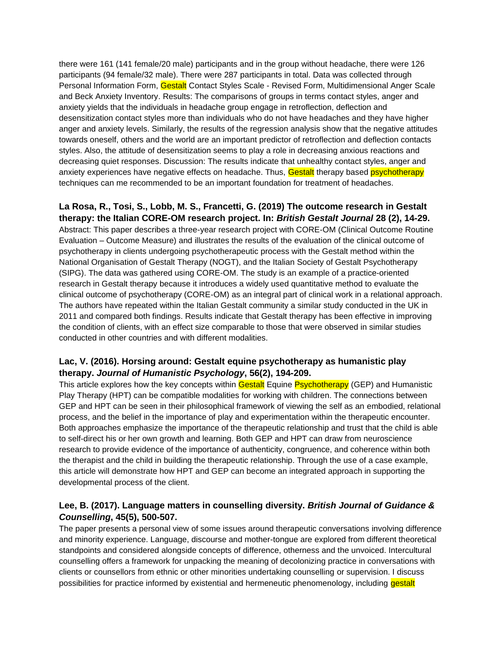there were 161 (141 female/20 male) participants and in the group without headache, there were 126 participants (94 female/32 male). There were 287 participants in total. Data was collected through Personal Information Form, Gestalt Contact Styles Scale - Revised Form, Multidimensional Anger Scale and Beck Anxiety Inventory. Results: The comparisons of groups in terms contact styles, anger and anxiety yields that the individuals in headache group engage in retroflection, deflection and desensitization contact styles more than individuals who do not have headaches and they have higher anger and anxiety levels. Similarly, the results of the regression analysis show that the negative attitudes towards oneself, others and the world are an important predictor of retroflection and deflection contacts styles. Also, the attitude of desensitization seems to play a role in decreasing anxious reactions and decreasing quiet responses. Discussion: The results indicate that unhealthy contact styles, anger and anxiety experiences have negative effects on headache. Thus, Gestalt therapy based psychotherapy techniques can me recommended to be an important foundation for treatment of headaches.

**La Rosa, R., Tosi, S., Lobb, M. S., Francetti, G. (2019) The outcome research in Gestalt therapy: the Italian CORE-OM research project. In:** *British Gestalt Journal* **28 (2), 14-29.**  Abstract: This paper describes a three-year research project with CORE-OM (Clinical Outcome Routine Evaluation – Outcome Measure) and illustrates the results of the evaluation of the clinical outcome of psychotherapy in clients undergoing psychotherapeutic process with the Gestalt method within the National Organisation of Gestalt Therapy (NOGT), and the Italian Society of Gestalt Psychotherapy (SIPG). The data was gathered using CORE-OM. The study is an example of a practice-oriented research in Gestalt therapy because it introduces a widely used quantitative method to evaluate the clinical outcome of psychotherapy (CORE-OM) as an integral part of clinical work in a relational approach. The authors have repeated within the Italian Gestalt community a similar study conducted in the UK in 2011 and compared both findings. Results indicate that Gestalt therapy has been effective in improving the condition of clients, with an effect size comparable to those that were observed in similar studies conducted in other countries and with different modalities.

#### **Lac, V. (2016). Horsing around: Gestalt equine psychotherapy as humanistic play therapy.** *Journal of Humanistic Psychology***, 56(2), 194-209.**

This article explores how the key concepts within Gestalt Equine Psychotherapy (GEP) and Humanistic Play Therapy (HPT) can be compatible modalities for working with children. The connections between GEP and HPT can be seen in their philosophical framework of viewing the self as an embodied, relational process, and the belief in the importance of play and experimentation within the therapeutic encounter. Both approaches emphasize the importance of the therapeutic relationship and trust that the child is able to self-direct his or her own growth and learning. Both GEP and HPT can draw from neuroscience research to provide evidence of the importance of authenticity, congruence, and coherence within both the therapist and the child in building the therapeutic relationship. Through the use of a case example, this article will demonstrate how HPT and GEP can become an integrated approach in supporting the developmental process of the client.

## **Lee, B. (2017). Language matters in counselling diversity.** *British Journal of Guidance & Counselling***, 45(5), 500-507.**

The paper presents a personal view of some issues around therapeutic conversations involving difference and minority experience. Language, discourse and mother-tongue are explored from different theoretical standpoints and considered alongside concepts of difference, otherness and the unvoiced. Intercultural counselling offers a framework for unpacking the meaning of decolonizing practice in conversations with clients or counsellors from ethnic or other minorities undertaking counselling or supervision. I discuss possibilities for practice informed by existential and hermeneutic phenomenology, including **gestalt**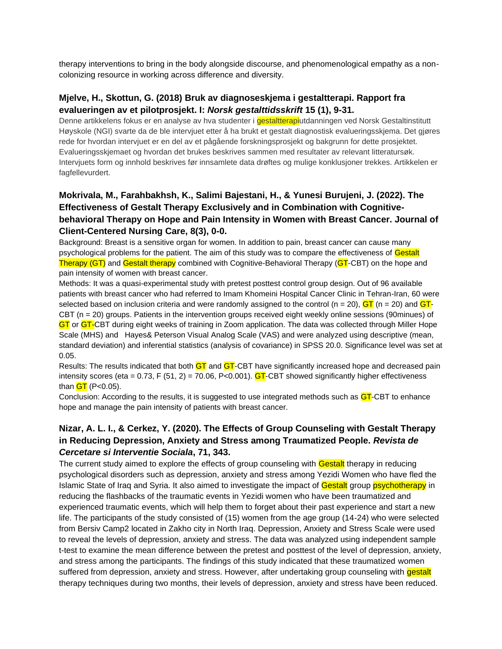therapy interventions to bring in the body alongside discourse, and phenomenological empathy as a noncolonizing resource in working across difference and diversity.

#### **Mjelve, H., Skottun, G. (2018) Bruk av diagnoseskjema i gestaltterapi. Rapport fra evalueringen av et pilotprosjekt. I:** *Norsk gestalttidsskrift* **15 (1), 9-31.**

Denne artikkelens fokus er en analyse av hva studenter i **gestaltterapi**utdanningen ved Norsk Gestaltinstitutt Høyskole (NGI) svarte da de ble intervjuet etter å ha brukt et gestalt diagnostisk evalueringsskjema. Det gjøres rede for hvordan intervjuet er en del av et pågående forskningsprosjekt og bakgrunn for dette prosjektet. Evalueringsskjemaet og hvordan det brukes beskrives sammen med resultater av relevant litteratursøk. Intervjuets form og innhold beskrives før innsamlete data drøftes og mulige konklusjoner trekkes. Artikkelen er fagfellevurdert.

### **Mokrivala, M., Farahbakhsh, K., Salimi Bajestani, H., & Yunesi Burujeni, J. (2022). The Effectiveness of Gestalt Therapy Exclusively and in Combination with Cognitivebehavioral Therapy on Hope and Pain Intensity in Women with Breast Cancer. Journal of Client-Centered Nursing Care, 8(3), 0-0.**

Background: Breast is a sensitive organ for women. In addition to pain, breast cancer can cause many psychological problems for the patient. The aim of this study was to compare the effectiveness of Gestalt Therapy (GT) and Gestalt therapy combined with Cognitive-Behavioral Therapy (GT-CBT) on the hope and pain intensity of women with breast cancer.

Methods: It was a quasi-experimental study with pretest posttest control group design. Out of 96 available patients with breast cancer who had referred to Imam Khomeini Hospital Cancer Clinic in Tehran-Iran, 60 were selected based on inclusion criteria and were randomly assigned to the control (n = 20),  $GT$  (n = 20) and  $GT$ CBT (n = 20) groups. Patients in the intervention groups received eight weekly online sessions (90minues) of GT or GT-CBT during eight weeks of training in Zoom application. The data was collected through Miller Hope Scale (MHS) and Hayes& Peterson Visual Analog Scale (VAS) and were analyzed using descriptive (mean, standard deviation) and inferential statistics (analysis of covariance) in SPSS 20.0. Significance level was set at 0.05.

Results: The results indicated that both GT and GT-CBT have significantly increased hope and decreased pain intensity scores (eta =  $0.73$ , F (51, 2) = 70.06, P<0.001). GT-CBT showed significantly higher effectiveness than  $GT$  (P<0.05).

Conclusion: According to the results, it is suggested to use integrated methods such as **GT**-CBT to enhance hope and manage the pain intensity of patients with breast cancer.

### **Nizar, A. L. I., & Cerkez, Y. (2020). The Effects of Group Counseling with Gestalt Therapy in Reducing Depression, Anxiety and Stress among Traumatized People.** *Revista de Cercetare si Interventie Sociala***, 71, 343.**

The current study aimed to explore the effects of group counseling with Gestalt therapy in reducing psychological disorders such as depression, anxiety and stress among Yezidi Women who have fled the Islamic State of Iraq and Syria. It also aimed to investigate the impact of Gestalt group psychotherapy in reducing the flashbacks of the traumatic events in Yezidi women who have been traumatized and experienced traumatic events, which will help them to forget about their past experience and start a new life. The participants of the study consisted of (15) women from the age group (14-24) who were selected from Bersiv Camp2 located in Zakho city in North Iraq. Depression, Anxiety and Stress Scale were used to reveal the levels of depression, anxiety and stress. The data was analyzed using independent sample t-test to examine the mean difference between the pretest and posttest of the level of depression, anxiety, and stress among the participants. The findings of this study indicated that these traumatized women suffered from depression, anxiety and stress. However, after undertaking group counseling with gestalt therapy techniques during two months, their levels of depression, anxiety and stress have been reduced.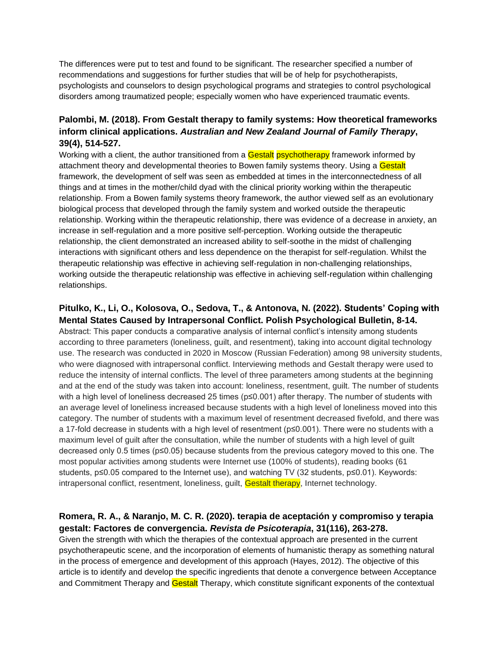The differences were put to test and found to be significant. The researcher specified a number of recommendations and suggestions for further studies that will be of help for psychotherapists, psychologists and counselors to design psychological programs and strategies to control psychological disorders among traumatized people; especially women who have experienced traumatic events.

#### **Palombi, M. (2018). From Gestalt therapy to family systems: How theoretical frameworks inform clinical applications.** *Australian and New Zealand Journal of Family Therapy***, 39(4), 514-527.**

Working with a client, the author transitioned from a Gestalt psychotherapy framework informed by attachment theory and developmental theories to Bowen family systems theory. Using a Gestalt framework, the development of self was seen as embedded at times in the interconnectedness of all things and at times in the mother/child dyad with the clinical priority working within the therapeutic relationship. From a Bowen family systems theory framework, the author viewed self as an evolutionary biological process that developed through the family system and worked outside the therapeutic relationship. Working within the therapeutic relationship, there was evidence of a decrease in anxiety, an increase in self-regulation and a more positive self-perception. Working outside the therapeutic relationship, the client demonstrated an increased ability to self-soothe in the midst of challenging interactions with significant others and less dependence on the therapist for self-regulation. Whilst the therapeutic relationship was effective in achieving self-regulation in non-challenging relationships, working outside the therapeutic relationship was effective in achieving self-regulation within challenging relationships.

#### **Pitulko, K., Li, O., Kolosova, O., Sedova, T., & Antonova, N. (2022). Students' Coping with Mental States Caused by Intrapersonal Conflict. Polish Psychological Bulletin, 8-14.**

Abstract: This paper conducts a comparative analysis of internal conflict's intensity among students according to three parameters (loneliness, guilt, and resentment), taking into account digital technology use. The research was conducted in 2020 in Moscow (Russian Federation) among 98 university students, who were diagnosed with intrapersonal conflict. Interviewing methods and Gestalt therapy were used to reduce the intensity of internal conflicts. The level of three parameters among students at the beginning and at the end of the study was taken into account: loneliness, resentment, guilt. The number of students with a high level of loneliness decreased 25 times (p≤0.001) after therapy. The number of students with an average level of loneliness increased because students with a high level of loneliness moved into this category. The number of students with a maximum level of resentment decreased fivefold, and there was a 17-fold decrease in students with a high level of resentment (p≤0.001). There were no students with a maximum level of guilt after the consultation, while the number of students with a high level of guilt decreased only 0.5 times (p≤0.05) because students from the previous category moved to this one. The most popular activities among students were Internet use (100% of students), reading books (61 students, p≤0.05 compared to the Internet use), and watching TV (32 students, p≤0.01). Keywords: intrapersonal conflict, resentment, loneliness, guilt, Gestalt therapy, Internet technology.

### **Romera, R. A., & Naranjo, M. C. R. (2020). terapia de aceptación y compromiso y terapia gestalt: Factores de convergencia.** *Revista de Psicoterapia***, 31(116), 263-278.**

Given the strength with which the therapies of the contextual approach are presented in the current psychotherapeutic scene, and the incorporation of elements of humanistic therapy as something natural in the process of emergence and development of this approach (Hayes, 2012). The objective of this article is to identify and develop the specific ingredients that denote a convergence between Acceptance and Commitment Therapy and Gestalt Therapy, which constitute significant exponents of the contextual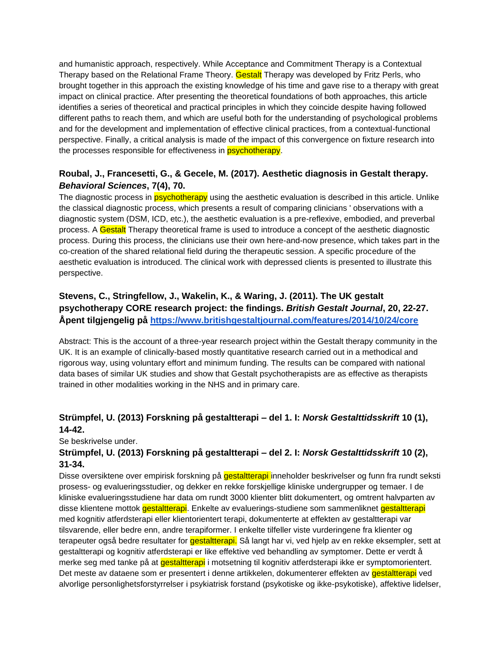and humanistic approach, respectively. While Acceptance and Commitment Therapy is a Contextual Therapy based on the Relational Frame Theory. Gestalt Therapy was developed by Fritz Perls, who brought together in this approach the existing knowledge of his time and gave rise to a therapy with great impact on clinical practice. After presenting the theoretical foundations of both approaches, this article identifies a series of theoretical and practical principles in which they coincide despite having followed different paths to reach them, and which are useful both for the understanding of psychological problems and for the development and implementation of effective clinical practices, from a contextual-functional perspective. Finally, a critical analysis is made of the impact of this convergence on fixture research into the processes responsible for effectiveness in **psychotherapy**.

### **Roubal, J., Francesetti, G., & Gecele, M. (2017). Aesthetic diagnosis in Gestalt therapy.**  *Behavioral Sciences***, 7(4), 70.**

The diagnostic process in **psychotherapy** using the aesthetic evaluation is described in this article. Unlike the classical diagnostic process, which presents a result of comparing clinicians ' observations with a diagnostic system (DSM, ICD, etc.), the aesthetic evaluation is a pre-reflexive, embodied, and preverbal process. A Gestalt Therapy theoretical frame is used to introduce a concept of the aesthetic diagnostic process. During this process, the clinicians use their own here-and-now presence, which takes part in the co-creation of the shared relational field during the therapeutic session. A specific procedure of the aesthetic evaluation is introduced. The clinical work with depressed clients is presented to illustrate this perspective.

## **Stevens, C., Stringfellow, J., Wakelin, K., & Waring, J. (2011). The UK gestalt psychotherapy CORE research project: the findings.** *British Gestalt Journal***, 20, 22-27. Åpent tilgjengelig på<https://www.britishgestaltjournal.com/features/2014/10/24/core>**

Abstract: This is the account of a three-year research project within the Gestalt therapy community in the UK. It is an example of clinically-based mostly quantitative research carried out in a methodical and rigorous way, using voluntary effort and minimum funding. The results can be compared with national data bases of similar UK studies and show that Gestalt psychotherapists are as effective as therapists trained in other modalities working in the NHS and in primary care.

## **Strümpfel, U. (2013) Forskning på gestaltterapi – del 1. I:** *Norsk Gestalttidsskrift* **10 (1), 14-42.**

Se beskrivelse under.

## **Strümpfel, U. (2013) Forskning på gestaltterapi – del 2. I:** *Norsk Gestalttidsskrift* **10 (2), 31-34.**

Disse oversiktene over empirisk forskning på **gestaltterapi** inneholder beskrivelser og funn fra rundt seksti prosess- og evalueringsstudier, og dekker en rekke forskjellige kliniske undergrupper og temaer. I de kliniske evalueringsstudiene har data om rundt 3000 klienter blitt dokumentert, og omtrent halvparten av disse klientene mottok gestaltterapi. Enkelte av evaluerings-studiene som sammenliknet gestaltterapi med kognitiv atferdsterapi eller klientorientert terapi, dokumenterte at effekten av gestaltterapi var tilsvarende, eller bedre enn, andre terapiformer. I enkelte tilfeller viste vurderingene fra klienter og terapeuter også bedre resultater for gestaltterapi. Så langt har vi, ved hjelp av en rekke eksempler, sett at gestaltterapi og kognitiv atferdsterapi er like effektive ved behandling av symptomer. Dette er verdt å merke seg med tanke på at **gestaltterapi** i motsetning til kognitiv atferdsterapi ikke er symptomorientert. Det meste av dataene som er presentert i denne artikkelen, dokumenterer effekten av **gestaltterapi** ved alvorlige personlighetsforstyrrelser i psykiatrisk forstand (psykotiske og ikke-psykotiske), affektive lidelser,